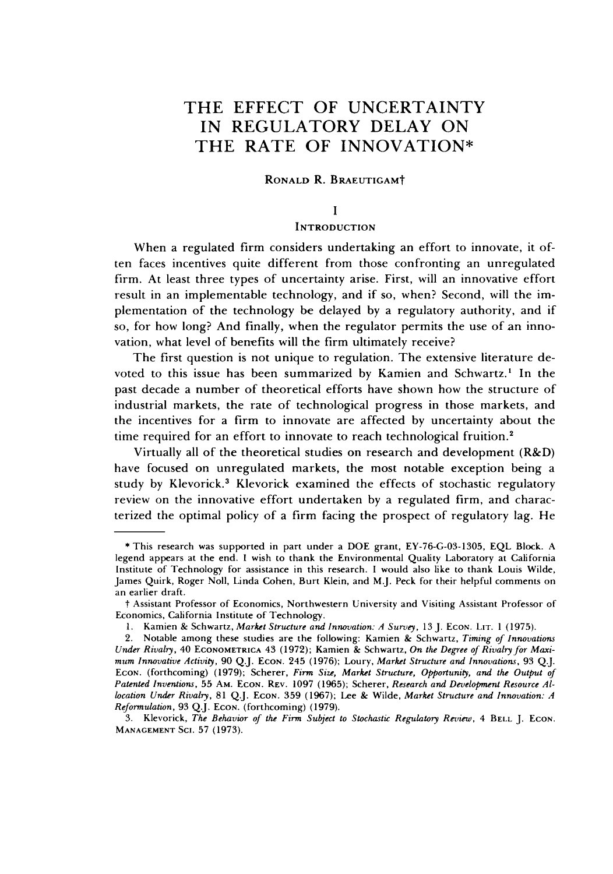# THE **EFFECT** OF **UNCERTAINTY IN** REGULATORY DELAY **ON** THE RATE OF **INNOVATION\***

RONALD R. BRAEUTIGAMt

## **I**

#### **INTRODUCTION**

When a regulated firm considers undertaking an effort to innovate, it often faces incentives quite different from those confronting an unregulated firm. At least three types of uncertainty arise. First, will an innovative effort result in an implementable technology, and if so, when? Second, will the implementation of the technology be delayed by a regulatory authority, and if so, for how long? And finally, when the regulator permits the use of an innovation, what level of benefits will the firm ultimately receive?

The first question is not unique to regulation. The extensive literature devoted to this issue has been summarized by Kamien and Schwartz.' In the past decade a number of theoretical efforts have shown how the structure of industrial markets, the rate of technological progress in those markets, and the incentives for a firm to innovate are affected by uncertainty about the time required for an effort to innovate to reach technological fruition.<sup>2</sup>

Virtually all of the theoretical studies on research and development (R&D) have focused on unregulated markets, the most notable exception being a study by Klevorick.<sup>3</sup> Klevorick examined the effects of stochastic regulatory review on the innovative effort undertaken by a regulated firm, and characterized the optimal policy of a firm facing the prospect of regulatory lag. He

<sup>\*</sup> This research was supported in part under a DOE grant, EY-76-G-03-1305, EQL Block. A legend appears at the end. I wish to thank the Environmental Quality Laboratory at California Institute of Technology for assistance in this research. I would also like to thank Louis Wilde, James Quirk, Roger Noll, Linda Cohen, Burt Klein, and M.J. Peck for their helpful comments on an earlier draft.

t Assistant Professor of Economics, Northwestern University and Visiting Assistant Professor of Economics, California Institute of Technology.

**<sup>1.</sup>** Kamien **&** Schwartz, *Market Structure and Innovation: A Survey,* **13 J.** EcON. LIT. 1 (1975).

<sup>2.</sup> Notable among these studies are the following: Kamien & Schwartz, *Timing* of *Innovations Under Rivalry,* 40 ECONOMETRICA 43 (1972); Kamien **&** Schwartz, *On the Degree of Rivalry for Maximum Innovative Activity,* **90** Q.J. ECON. 245 **(1976);** Loury, *Market Structure and Innovations,* 93 Q.J. ECON. (forthcoming) (1979); Scherer, *Firm Size, Market Structure, Opportunity, and the Output of Patented Inventions,* 55 AM. **ECON.** REV. 1097 (1965); Scherer, *Research and Development Resource Allocation Under Rivalry,* 81 Q.J. EcON. 359 (1967); Lee & Wilde, *Market Structure and Innovation: A Reformulation,* 93 QJ. ECON. (forthcoming) (1979).

<sup>3.</sup> Klevorick, *The Behavior of the Firm Subject to Stochastic Regulatory Review,* 4 BELL J. **ECON. MANAGEMENT** Sci. 57 (1973).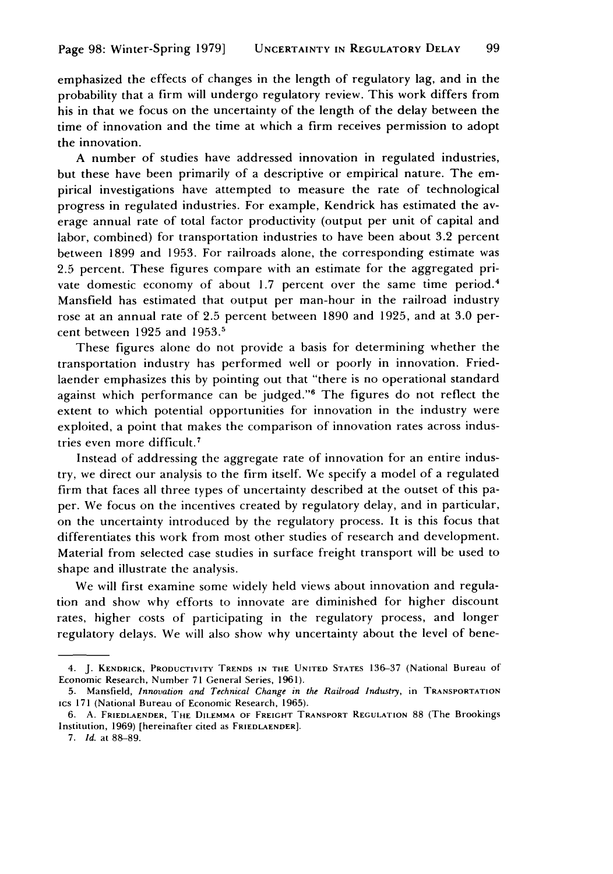emphasized the effects of changes in the length of regulatory lag, and in the probability that a firm will undergo regulatory review. This work differs from his in that we focus on the uncertainty of the length of the delay between the time of innovation and the time at which a firm receives permission to adopt the innovation.

A number of studies have addressed innovation in regulated industries, but these have been primarily of a descriptive or empirical nature. The empirical investigations have attempted to measure the rate of technological progress in regulated industries. For example, Kendrick has estimated the average annual rate of total factor productivity (output per unit of capital and labor, combined) for transportation industries to have been about 3.2 percent between 1899 and 1953. For railroads alone, the corresponding estimate was 2.5 percent. These figures compare with an estimate for the aggregated private domestic economy of about 1.7 percent over the same time period.<sup>4</sup> Mansfield has estimated that output per man-hour in the railroad industry rose at an annual rate of 2.5 percent between 1890 and 1925, and at 3.0 percent between 1925 and 1953.'

These figures alone do not provide a basis for determining whether the transportation industry has performed well or poorly in innovation. Friedlaender emphasizes this by pointing out that "there is no operational standard against which performance can be judged."<sup>6</sup> The figures do not reflect the extent to which potential opportunities for innovation in the industry were exploited, a point that makes the comparison of innovation rates across industries even more difficult. <sup>7</sup>

Instead of addressing the aggregate rate of innovation for an entire industry, we direct our analysis to the firm itself. We specify a model of a regulated firm that faces all three types of uncertainty described at the outset of this paper. We focus on the incentives created by regulatory delay, and in particular, on the uncertainty introduced by the regulatory process. It is this focus that differentiates this work from most other studies of research and development. Material from selected case studies in surface freight transport will be used to shape and illustrate the analysis.

We will first examine some widely held views about innovation and regulation and show why efforts to innovate are diminished for higher discount rates, higher costs of participating in the regulatory process, and longer regulatory delays. We will also show why uncertainty about the level of bene-

<sup>4.</sup> J. KENDRICK, PRODUCTIVITY TRENDS IN THE UNITED STATES 136-37 (National Bureau of Economic Research, Number 71 General Series, 1961).

**<sup>5.</sup>** Mansfield, *Innovation and Technical Change* in *the Railroad Industry,* in TRANSPORTATION ics 171 (National Bureau of Economic Research, 1965).

<sup>6.</sup> **A.** FRIEDLAENDER, THE DILEMMA OF FREIGHT TRANSPORT REGULATION 88 (The Brookings Institution, 1969) [hereinafter cited as FRIEDLAENDER].

*<sup>7.</sup> Id.* at 88-89.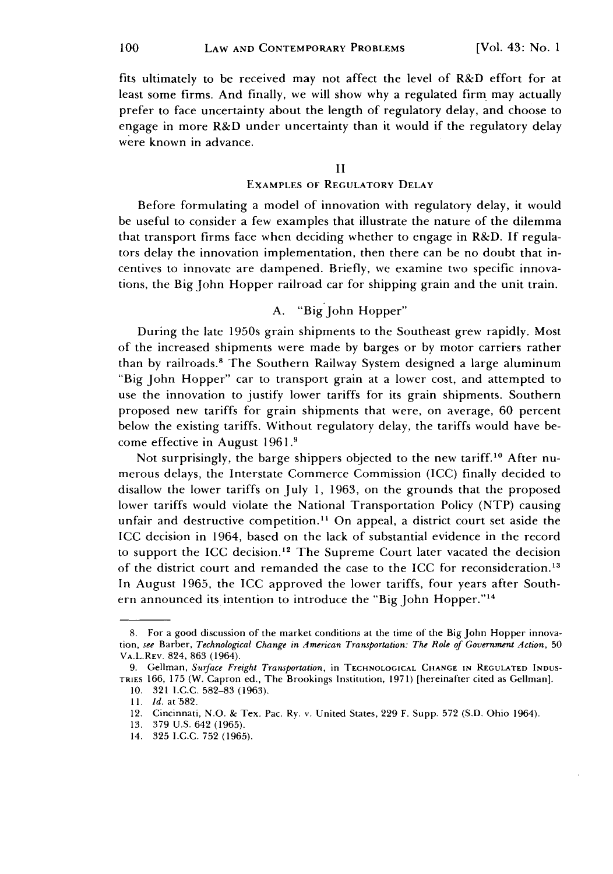fits ultimately to be received may not affect the level of R&D effort for at least some firms. And finally, we will show why a regulated firm may actually prefer to face uncertainty about the length of regulatory delay, and choose to engage in more R&D under uncertainty than it would if the regulatory delay were known in advance.

## II **EXAMPLES** OF REGULATORY DELAY

Before formulating a model of innovation with regulatory delay, it would be useful to consider a few examples that illustrate the nature of the dilemma that transport firms face when deciding whether to engage in R&D. If regulators delay the innovation implementation, then there can be no doubt that incentives to innovate are dampened. Briefly, we examine two specific innovations, the Big John Hopper railroad car for shipping grain and the unit train.

## A. "Big John Hopper"

During the late 1950s grain shipments to the Southeast grew rapidly. Most of the increased shipments were made by barges or by motor carriers rather than by railroads.' The Southern Railway System designed a large aluminum "Big John Hopper" car to transport grain at a lower cost, and attempted to use the innovation to justify lower tariffs for its grain shipments. Southern proposed new tariffs for grain shipments that were, on average, 60 percent below the existing tariffs. Without regulatory delay, the tariffs would have become effective in August 1961.'

Not surprisingly, the barge shippers objected to the new tariff.<sup>10</sup> After numerous delays, the Interstate Commerce Commission (ICC) finally decided to disallow the lower tariffs on July 1, 1963, on the grounds that the proposed lower tariffs would violate the National Transportation Policy (NTP) causing unfair and destructive competition.<sup>11</sup> On appeal, a district court set aside the ICC decision in 1964, based on the lack of substantial evidence in the record to support the ICC decision.<sup>12</sup> The Supreme Court later vacated the decision of the district court and remanded the case to the ICC for reconsideration. <sup>13</sup> In August 1965, the ICC approved the lower tariffs, four years after Southern announced its intention to introduce the "Big John Hopper."14

<sup>8.</sup> For a good discussion of the market conditions at the time of the Big John Hopper innovation, *see* Barber, *Technological Change in American Transportation: The Role of Government Action,* 50 VA.L.REV. 824, 863 (1964).

**<sup>9.</sup>** Gellman, *Surface Freight Transportation,* in **TECHNOLOGICAL CHANGE IN REGULATED INDUS-TRIES 166, 175** (W. Capron ed., The Brookings Institution, **1971)** [hereinafter cited as Gellman].

**<sup>10. 321</sup> I.C.C. 582-83 (1963).**

*<sup>11.</sup> Id.* at **582.**

<sup>12.</sup> Cincinnati, **N.O.** & Tex. Pac. Ry. v. United States, **229** F. Supp. 572 **(S.D.** Ohio 1964).

**<sup>13. 379</sup> U.S.** 642 **(1965).**

<sup>14.</sup> **325 I.C.C. 752 (1965).**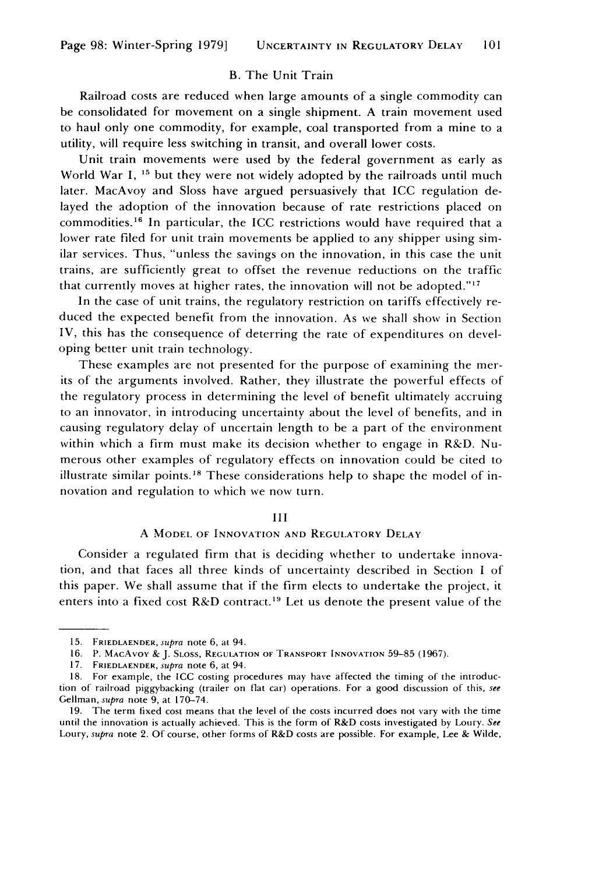## B. The Unit Train

Railroad costs are reduced when large amounts of a single commodity can be consolidated for movement on a single shipment. A train movement used to haul only one commodity, for example, coal transported from a mine to a utility, will require less switching in transit, and overall lower costs.

Unit train movements were used by the federal government as early as World War I, **"5** but they were not widely adopted by the railroads until much later. MacAvoy and Sloss have argued persuasively that ICC regulation delayed the adoption of the innovation because of rate restrictions placed on commodities.<sup>16</sup> In particular, the ICC restrictions would have required that a lower rate filed for unit train movements be applied to any shipper using similar services. Thus, "unless the savings on the innovation, in this case the unit trains, are sufficiently great to offset the revenue reductions on the traffic that currently moves at higher rates, the innovation will not be adopted."<sup>17</sup>

In the case of unit trains, the regulatory restriction on tariffs effectively reduced the expected benefit from the innovation. As we shall show in Section IV, this has the consequence of deterring the rate of expenditures on developing better unit train technology.

These examples are not presented for the purpose of examining the merits of the arguments involved. Rather, they illustrate the powerful effects of the regulatory process in determining the level of benefit ultimately accruing to an innovator, in introducing uncertainty about the level of benefits, and in causing regulatory delay of uncertain length to be a part of the environment within which a firm must make its decision whether to engage in R&D. Numerous other examples of regulatory effects on innovation could be cited to illustrate similar points.18 These considerations help to shape the model of innovation and regulation to which we now turn.

## III

## A MODEL OF **INNOVATION AND** REGULATORY DELAY

Consider a regulated firm that is deciding whether to undertake innovation, and that faces all three kinds of uncertainty described in Section **I** of this paper. We shall assume that if the firm elects to undertake the project, it enters into a fixed cost R&D contract.<sup>19</sup> Let us denote the present value of the

**17.** FRIEDLAENDER, *supra* note **6,** at 94.

<sup>15.</sup> FRIEDLAENDER, *supra* note **6,** at 94.

<sup>16.</sup> P. MAcAvoy **&** J. SLOSS, **REGULATION** OF TRANSPORT INNOVATION 59-85 (1967).

<sup>18.</sup> For example, the ICC costing procedures may have affected the timing of the introduction of railroad piggybacking (trailer on **flat** car) operations. For a good discussion of this, *see* Gellman, *supra* note **9,** at 170-74.

**<sup>19.</sup>** The term **fixed** cost means that the level of the costs incurred does not vary with the time until the innovation is actually achieved. This is the form of R&D costs investigated **by** Loury. *See* Loury, *supra* note 2. **Of** course, other forms of R&D costs are possible. For example, Lee **&** Wilde,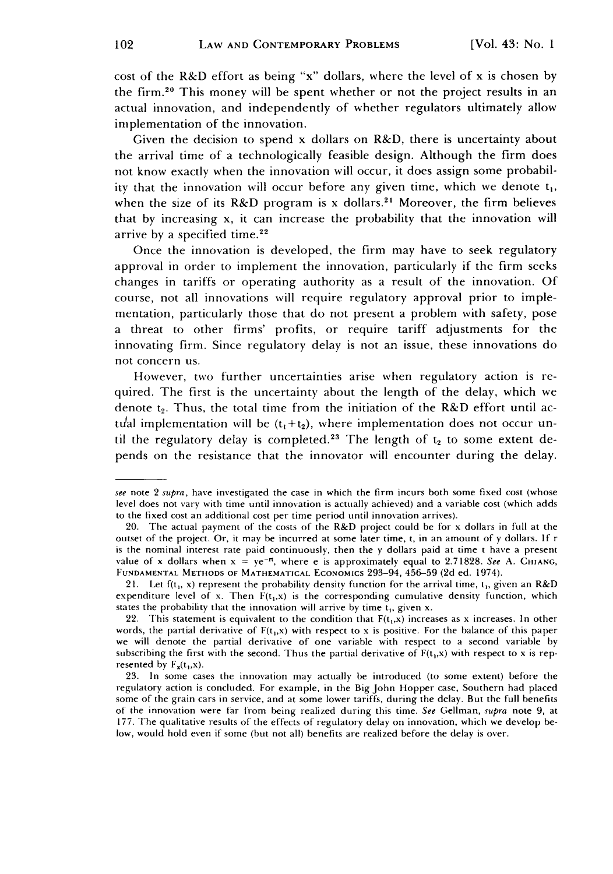cost of the R&D effort as being "x" dollars, where the level of x is chosen by the firm.<sup>20</sup> This money will be spent whether or not the project results in an actual innovation, and independently of whether regulators ultimately allow implementation of the innovation.

Given the decision to spend x dollars on  $R&D$ , there is uncertainty about the arrival time of a technologically feasible design. Although the firm does not know exactly when the innovation will occur, it does assign some probability that the innovation will occur before any given time, which we denote  $t_1$ , when the size of its R&D program is x dollars.<sup>21</sup> Moreover, the firm believes that by increasing x, it can increase the probability that the innovation will arrive by a specified time.<sup>22</sup>

Once the innovation is developed, the firm may have to seek regulatory approval in order to implement the innovation, particularly if the firm seeks changes in tariffs or operating authority as a result of the innovation. Of course, not all innovations will require regulatory approval prior to implementation, particularly those that do not present a problem with safety, pose a threat to other firms' profits, or require tariff adjustments for the innovating firm. Since regulatory delay is not an issue, these innovations do not concern us.

However, two further uncertainties arise when regulatory action is required. The first is the uncertainty about the length of the delay, which we denote  $t_2$ . Thus, the total time from the initiation of the R&D effort until actual implementation will be  $(t_1 + t_2)$ , where implementation does not occur until the regulatory delay is completed.<sup>23</sup> The length of  $t_2$  to some extent depends on the resistance that the innovator will encounter during the delay.

*see* note 2 supra, have investigated the case in which the firm incurs both some fixed cost (whose level does not vary with time until innovation is actually achieved) and a variable cost (which adds to the fixed cost an additional cost per time period until innovation arrives).

<sup>20.</sup> The actual payment of the costs of the R&D project could be for x dollars in full at the outset of the project. Or, it may be incurred at some later time, t, in an amount of y dollars. If r is the nominal interest rate paid continuously, then the y dollars paid at time t have a present value of x dollars when  $x = ye^{-n}$ , where e is approximately equal to 2.71828. See A. CHIANG, **FUNDAMENTAL METHODS** OF **MATHEMATICAL** ECONOMICS 293-94, 456-59 **(2d** ed. 1974).

<sup>21.</sup> Let f(t,, x) represent the probability density function for the arrival time, **t 1,** given an R&D expenditure level of x. Then  $\mathbf{F}(t_1,x)$  is the corresponding cumulative density function, which states the probability that the innovation will arrive by time  $t_1$ , given x.

<sup>22.</sup> This statement is equivalent to the condition that  $F(t_1,x)$  increases as x increases. In other words, the partial derivative of  $F(t_1,x)$  with respect to x is positive. For the balance of this paper we will denote the partial derivative of one variable with respect to a second variable by subscribing the first with the second. Thus the partial derivative of  $F(t_1,x)$  with respect to x is represented by  $F_x(t_1, x)$ .

<sup>23.</sup> In some cases the innovation may actually be introduced (to some extent) before the regulatory action is concluded. For example, in the Big John Hopper case, Southern had placed some of the grain cars in service, and at some lower tariffs, during the delay. But the full benefits of the innovation were far from being realized during this time. *See* Gellman, *supra* note 9, at 177. The qualitative results of the effects of regulatory delay on innovation, which we develop below, would hold even if some (but not all) benefits are realized before the delay is over.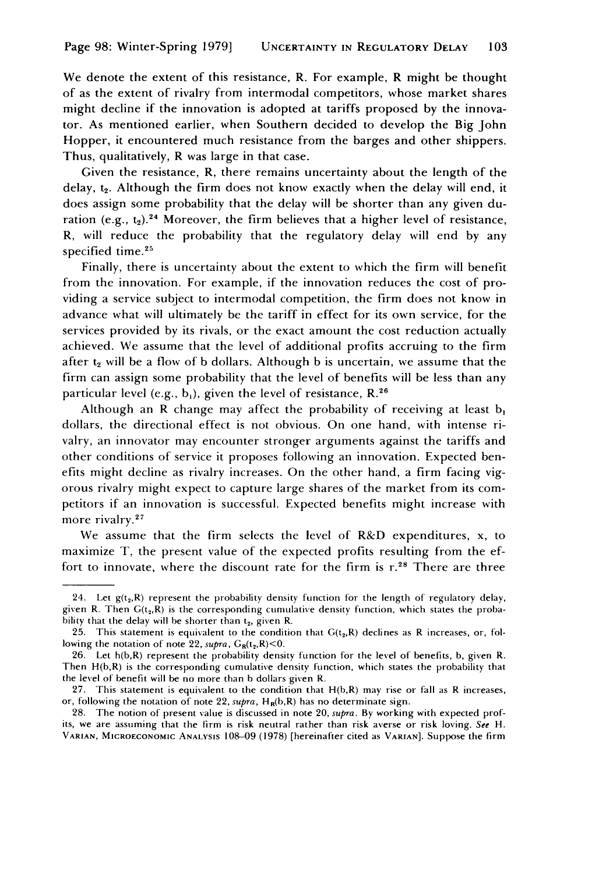We denote the extent of this resistance, R. For example, R might be thought of as the extent of rivalry from intermodal competitors, whose market shares might decline if the innovation is adopted at tariffs proposed by the innovator. As mentioned earlier, when Southern decided to develop the Big John Hopper, it encountered much resistance from the barges and other shippers. Thus, qualitatively, R was large in that case.

Given the resistance, R, there remains uncertainty about the length of the delay, t2. Although the firm does not know exactly when the delay will end, it does assign some probability that the delay will be shorter than any given duration (e.g.,  $t_2$ ).<sup>24</sup> Moreover, the firm believes that a higher level of resistance, R, will reduce the probability that the regulatory delay will end by any specified time.<sup>25</sup>

Finally, there is uncertainty about the extent to which the firm will benefit from the innovation. For example, if the innovation reduces the cost of providing a service subject to intermodal competition, the firm does not know in advance what will ultimately be the tariff in effect for its own service, for the services provided by its rivals, or the exact amount the cost reduction actually achieved. We assume that the level of additional profits accruing to the firm after  $t_2$  will be a flow of b dollars. Although b is uncertain, we assume that the firm can assign some probability that the level of benefits will be less than any particular level (e.g.,  $b_i$ ), given the level of resistance, R.<sup>26</sup>

Although an R change may affect the probability of receiving at least **b,** dollars, the directional effect is not obvious. On one hand, with intense rivalry, an innovator may encounter stronger arguments against the tariffs and other conditions of service it proposes following an innovation. Expected benefits might decline as rivalry increases. On the other hand, a firm facing vigorous rivalry might expect to capture large shares of the market from its competitors if an innovation is successful. Expected benefits might increase with more rivalry.<sup>27</sup>

We assume that the firm selects the level of R&D expenditures, x, to maximize T, the present value of the expected profits resulting from the effort to innovate, where the discount rate for the firm is  $r.^{28}$  There are three

<sup>24.</sup> Let  $g(t_2, R)$  represent the probability density function for the length of regulatory delay, given R. Then  $G(t_2, R)$  is the corresponding cumulative density function, which states the probability that the delay will be shorter than  $t_2$ , given R.

<sup>25.</sup> This statement is equivalent to the condition that  $G(t_2, R)$  declines as R increases, or, following the notation of note 22, supra,  $G_R(t_2,R) < 0$ .

<sup>26.</sup> Let h(b,R) represent the probability density function for the level of benefits, b, given R. Then H(b,R) is the corresponding cumulative density function, which states the probability that the level of benefit will be no more than b dollars given R.

<sup>27.</sup> This statement is equivalent to the condition that  $H(b,R)$  may rise or fall as R increases, or, following the notation of note 22,  $\frac{supra}{R(b,R)}$  has no determinate sign.

<sup>28.</sup> The notion of present value is discussed in note 20, *supra.* By working with expected profits, we are assuming that the firm is risk neutral rather than risk averse or risk loving. *See H.* VARIAN, MICROECONOMic ANALYSIS 108-09 (1978) [hereinafter cited as VARIAN]. Suppose the firm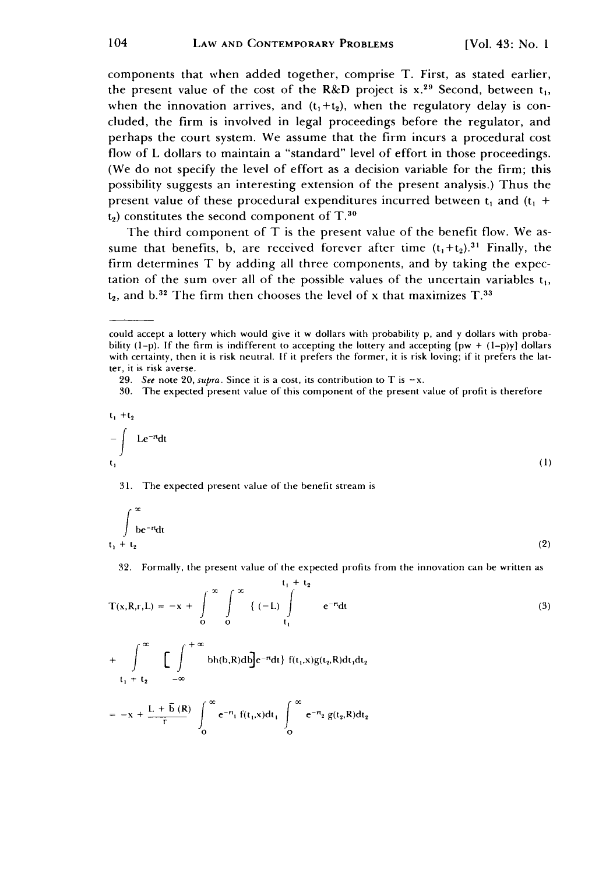components that when added together, comprise T. First, as stated earlier, the present value of the cost of the R&D project is  $x<sup>29</sup>$  Second, between  $t<sub>1</sub>$ , when the innovation arrives, and  $(t_1 + t_2)$ , when the regulatory delay is concluded, the firm is involved in legal proceedings before the regulator, and perhaps the court system. We assume that the firm incurs a procedural cost flow of L dollars to maintain a "standard" level of effort in those proceedings. (We do not specify the level of effort as a decision variable for the firm; this possibility suggests an interesting extension of the present analysis.) Thus the present value of these procedural expenditures incurred between t, and **(t, +**  $t<sub>2</sub>$ ) constitutes the second component of  $T<sup>30</sup>$ 

The third component of T is the present value of the benefit flow. We assume that benefits, b, are received forever after time  $(t_1 + t_2)$ .<sup>31</sup> Finally, the firm determines T by adding all three components, and by taking the expectation of the sum over all of the possible values of the uncertain variables **t,**  $t_2$ , and  $b^{32}$ . The firm then chooses the level of x that maximizes  $T^{33}$ .

30. The expected present value of this component of the present value of profit is therefore

 $(1)$ 

$$
t_1\ + t_2
$$

 $f = \int$  Le<sup>-n</sup>dt

31. The expected present value of the benefit stream is

$$
\int_{0}^{\infty} be^{-rt}dt
$$
\n
$$
t_1 + t_2
$$
\n(2)

32. Formally, the present value of the expected profits from the innovation can be written as

$$
T(x,R,r,L) = -x + \int_{0}^{\infty} \int_{0}^{\infty} \{ (-L) \int_{t_1}^{t_1 + t_2} e^{-rt} dt
$$
 (3)

+ 
$$
\int_{t_1 + t_2}^{\infty} \int_{-\infty}^{+\infty} bh(b, R)db \Big] e^{-n} dt \} f(t_1, x)g(t_2, R)dt_1 dt_2
$$
  
= 
$$
-x + \frac{L + \overline{b}(R)}{r} \int_{0}^{\infty} e^{-rt_1} f(t_1, x) dt_1 \int_{0}^{\infty} e^{-rt_2} g(t_2, R) dt_2
$$

could accept a lottery which would give it w dollars with probability p, and y dollars with probability (1-p). If the firm is indifferent to accepting the lottery and accepting [pw **+** (1-p)yl dollars with certainty, then it is risk neutral. **If** it prefers the former, it is risk loving; if it prefers the latter, it is risk averse.

<sup>29.</sup> See note 20, supra. Since it is a cost, its contribution to T is  $-x$ .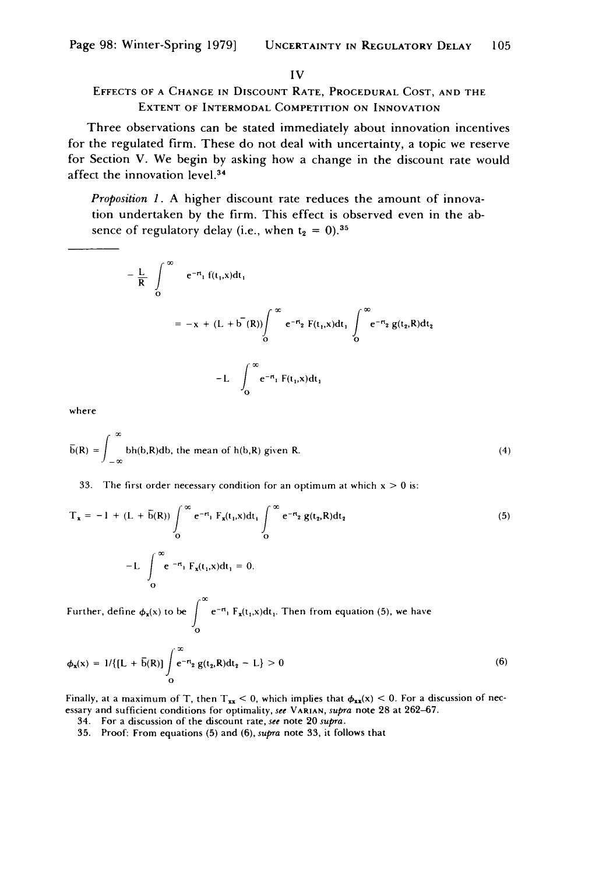#### **IV**

## **EFFECTS** OF **A CHANGE IN DISCOUNT** RATE, PROCEDURAL **COST, AND THE EXTENT OF INTERMODAL** COMPETITION **ON** INNOVATION

Three observations can be stated immediately about innovation incentives for the regulated firm. These do not deal with uncertainty, a topic we reserve for Section V. We begin **by** asking how a change in the discount rate would affect the innovation level.<sup>34</sup>

*Proposition 1.* **A** higher discount rate reduces the amount of innovation undertaken **by** the firm. This effect is observed even in the absence of regulatory delay (i.e., when  $t_2 = 0$ ).<sup>35</sup>

$$
-\frac{L}{R} \int_{0}^{\infty} e^{-rt_{1}} f(t_{1},x)dt_{1}
$$
  
= -x + (L + b<sup>-</sup>(R)) $\int_{0}^{\infty} e^{-rt_{2}} F(t_{1},x)dt_{1} \int_{0}^{\infty} e^{-rt_{2}} g(t_{2},R)dt_{2}$   
-L  $\int_{0}^{\infty} e^{-rt_{1}} F(t_{1},x)dt_{1}$ 

where

$$
\overline{b}(R) = \int_{-\infty}^{\infty} bh(b, R)db, the mean of h(b, R) given R.
$$
 (4)

33. The first order necessary condition for an optimum at which  $x > 0$  is:

$$
T_x = -1 + (L + \overline{b}(R)) \int_0^\infty e^{-rt_1} F_x(t_1, x) dt_1 \int_0^\infty e^{-rt_2} g(t_2, R) dt_2
$$
\n
$$
-L \int_0^\infty e^{-rt_1} F_x(t_1, x) dt_1 = 0.
$$
\nFurther, define  $\phi_x(x)$  to be

\n
$$
\int_0^\infty e^{-rt_1} F_x(t_1, x) dt_1
$$
\nThen from equation (5), we have

**0**  $\phi_{\mathbf{x}}(\mathbf{x}) = 1/ \{ [\mathbf{L} + \overline{\mathbf{b}}(\mathbf{R})] \mid \mathbf{e}^{-\mathbf{r}t_2} \mathbf{g}(\mathbf{t_2}, \mathbf{R}) \mathbf{d}\mathbf{t_2} - \mathbf{L} \} > 0$  (6)

Finally, at a maximum of T, then  $T_{xx} < 0$ , which implies that  $\phi_{xx}(x) < 0$ . For a discussion of necessary and sufficient conditions for optimality, *see* VARIAN, *supra* note 28 at 262-67.

34. For a discussion of the discount rate, *see* note 20 *supra.*

**0**

35. Proof: From equations (5) and (6), *supra* note 33, it follows that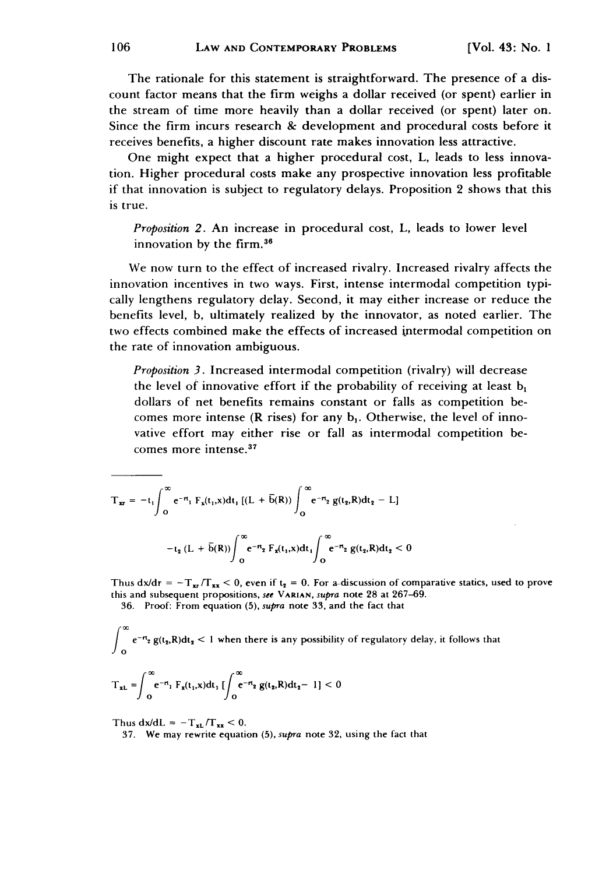The rationale for this statement is straightforward. The presence of a discount factor means that the firm weighs a dollar received (or spent) earlier in the stream of time more heavily than a dollar received (or spent) later on. Since the firm incurs research & development and procedural costs before it receives benefits, a higher discount rate makes innovation less attractive.

One might expect that a higher procedural cost, L, leads to less innovation. Higher procedural costs make any prospective innovation less profitable if that innovation is subject to regulatory delays. Proposition 2 shows that this is true.

*Proposition 2.* An increase in procedural cost, L, leads to lower level innovation by the firm.<sup>36</sup>

We now turn to the effect of increased rivalry. Increased rivalry affects the innovation incentives in two ways. First, intense intermodal competition typically lengthens regulatory delay. Second, it may either increase or reduce the benefits level, b, ultimately realized by the innovator, as noted earlier. The two effects combined make the effects of increased intermodal competition on the rate of innovation ambiguous.

*Proposition 3.* Increased intermodal competition (rivalry) will decrease the level of innovative effort if the probability of receiving at least **b,** dollars of net benefits remains constant or falls as competition becomes more intense (R rises) for any  $b_1$ . Otherwise, the level of innovative effort may either rise or fall as intermodal competition becomes more intense.<sup>37</sup>

$$
T_{\mathbf{x}^{2}} = -t_{1} \int_{0}^{\infty} e^{-rt_{1}} F_{x}(t_{1}, x) dt_{1} [(L + \overline{b}(R)) \int_{0}^{\infty} e^{-rt_{2}} g(t_{2}, R) dt_{2} - L]
$$

$$
-t_{2} (L + \overline{b}(R)) \int_{0}^{\infty} e^{-rt_{2}} F_{x}(t_{1}, x) dt_{1} \int_{0}^{\infty} e^{-rt_{2}} g(t_{2}, R) dt_{2} < 0
$$

Thus  $dx/dr = -T_{xx}/T_{xx} < 0$ , even if  $t_2 = 0$ . For a-discussion of comparative statics, used to prove this and subsequent propositions, *see* **VARIAN,** *supra* note **28** at 267-69.

**36.** Proof: From equation (5), *supra* note **33,** and the fact that

 $\int e^{-rt_2} g(t_2,R) dt_2 < 1$  when there is any possibility of regulatory delay, it follows that

$$
T_{xL} = \int_{0}^{\infty} e^{-rt_1} F_x(t_1, x) dt_1 \left[ \int_{0}^{\infty} e^{-rt_2} g(t_2, R) dt_2 - 1 \right] < 0
$$

Thus  $dx/dL = -T_{xL}/T_{xx} < 0$ .

37. We may rewrite equation (5), *supra* note 32, using the fact that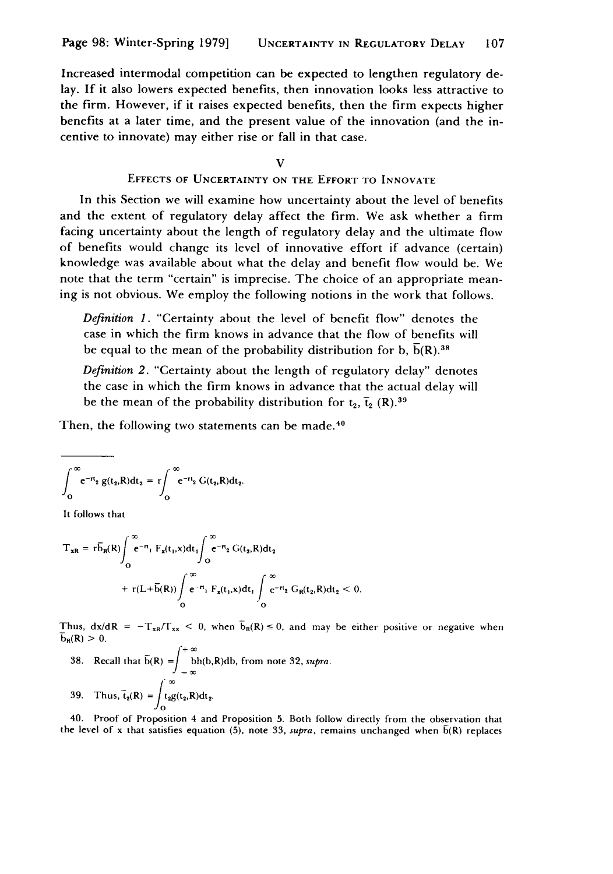Increased intermodal competition can be expected to lengthen regulatory delay. If it also lowers expected benefits, then innovation looks less attractive to the firm. However, if it raises expected benefits, then the firm expects higher benefits at a later time, and the present value of the innovation (and the incentive to innovate) may either rise or fall in that case.

V

## **EFFECTS OF UNCERTAINTY ON THE EFFORT** TO **INNOVATE**

In this Section we will examine how uncertainty about the level of benefits and the extent of regulatory delay affect the firm. We ask whether a firm facing uncertainty about the length of regulatory delay and the ultimate flow of benefits would change its level of innovative effort if advance (certain) knowledge was available about what the delay and benefit **flow** would be. We note that the term "certain" is imprecise. The choice of an appropriate meaning is not obvious. We employ the following notions in the work that follows.

*Definition 1.* "Certainty about the level of benefit flow" denotes the case in which the firm knows in advance that the flow of benefits will be equal to the mean of the probability distribution for b,  $\overline{b}(R)$ .<sup>38</sup>

*Definition 2.* "Certainty about the length of regulatory delay" denotes the case in which the firm knows in advance that the actual delay will be the mean of the probability distribution for  $t_2$ ,  $\overline{t}_2$  (R).<sup>39</sup>

Then, the following two statements can be made.<sup>40</sup>

$$
\int_0^{\infty} e^{-rt_2} g(t_2, R) dt_2 = r \int_0^{\infty} e^{-rt_2} G(t_2, R) dt_2.
$$

It follows that

$$
T_{xR} = r\overline{b}_R(R)\int_{O}^{\infty} e^{-rt_1} F_x(t_1, x)dt_1 \int_{O}^{\infty} e^{-rt_2} G(t_2, R)dt_2
$$
  
+  $r(L+\overline{b}(R))\int_{O}^{\infty} e^{-rt_1} F_x(t_1, x)dt_1 \int_{O}^{\infty} e^{-rt_2} G_R(t_2, R)dt_2 < 0.$ 

Thus,  $dx/dR = -T_{xR}/T_{xx} < 0$ , when  $\bar{b}_R(R) \le 0$ , and may be either positive or negative when  $\overline{\mathbf{b}}_{\mathsf{R}}(\mathbf{R}) > 0.$ 

38. Recall that  $\overline{b}(R) = \int_{-\infty}^{+\infty} bh(b,R)db$ , from note 32, *supra*. **39.** Thus,  $\overline{t}_2(R) = \int_{0}^{\infty} t_2 g(t_2,R) dt_2$ .

40. Proof of Proposition 4 and Proposition 5. Both follow directly from the observation that the level of x that satisfies equation (5), note 33, supra, remains unchanged when  $\overline{b}(R)$  replaces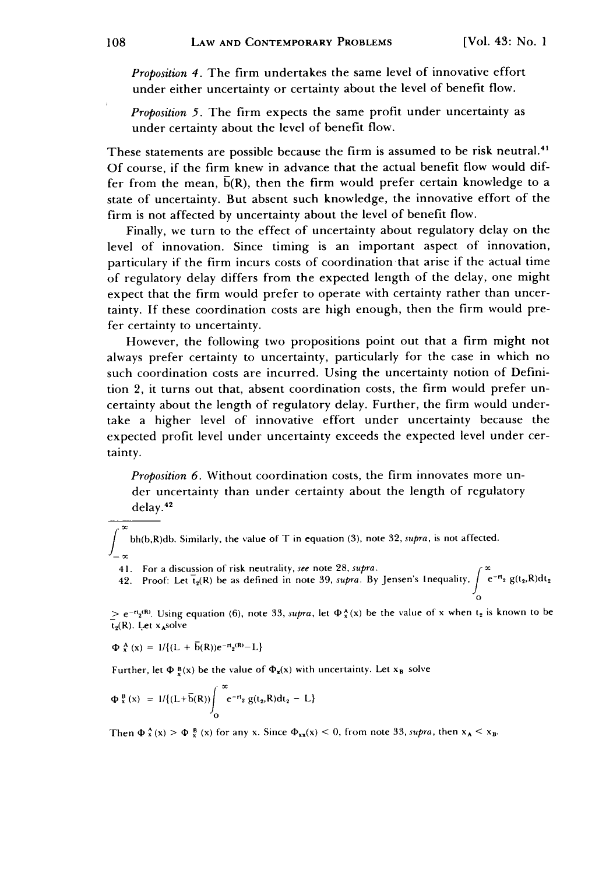*Proposition 4.* The firm undertakes the same level of innovative effort under either uncertainty or certainty about the level of benefit flow.

*Proposition 5.* The firm expects the same profit under uncertainty as under certainty about the level of benefit flow.

These statements are possible because the firm is assumed to be risk neutral.<sup>41</sup> Of course, if the firm knew in advance that the actual benefit flow would differ from the mean,  $\overline{b}(R)$ , then the firm would prefer certain knowledge to a state of uncertainty. But absent such knowledge, the innovative effort of the firm is not affected by uncertainty about the level of benefit flow.

Finally, we turn to the effect of uncertainty about regulatory delay on the level of innovation. Since timing is an important aspect of innovation, particulary if the firm incurs costs of coordination that arise if the actual time of regulatory delay differs from the expected length of the delay, one might expect that the firm would prefer to operate with certainty rather than uncertainty. If these coordination costs are high enough, then the firm would prefer certainty to uncertainty.

However, the following two propositions point out that a firm might not always prefer certainty to uncertainty, particularly for the case in which no such coordination costs are incurred. Using the uncertainty notion of Definition 2, it turns out that, absent coordination costs, the firm would prefer uncertainty about the length of regulatory delay. Further, the firm would undertake a higher level of innovative effort under uncertainty because the expected profit level under uncertainty exceeds the expected level under certainty.

*Proposition 6.* Without coordination costs, the firm innovates more under uncertainty than under certainty about the length of regulatory delay.<sup>42</sup>

 $\int$  bh(b,R)db. Similarly, the value of T in equation (3), note 32, *supra*, is not affected.

41. For a discussion of risk neutrality, *see* note 28, *supra*.

42. Proof: Let  $\bar{t}_2(R)$  be as defined in note 39, *supra*. By Jensen's Inequality,  $\int e^{-\pi}e g(t_2,R)dt_2$ **0**

 $> e^{-rt_2(R)}$ . Using equation (6), note 33, *supra*, let  $\Phi_{\lambda}^{A}(x)$  be the value of x when t<sub>2</sub> is known to be  $\bar{\mathrm{t}}_{\mathrm{z}}(\mathrm{R})$ . Let  $\mathrm{x}_{\mathrm{A}}$ solve

 $\Phi$ <sup>A</sup><sub>x</sub>(x) = 1/{(L +  $\overline{b}(R)$ )e<sup>- $\pi$ </sup><sub>2</sub><sup>(R)</sup>-L}

Further, let  $\Phi g(x)$  be the value of  $\Phi_{x}(x)$  with uncertainty. Let  $x_{B}$  solve

$$
\Phi_x^B(x) = 1/{(L + \bar{b}(R))} \int_0^\infty e^{-n_2} g(t_2, R) dt_2 - L
$$

Then  $\Phi$ <sup>A</sup><sub>x</sub>(x)  $> \Phi$ <sup>B</sup><sub>x</sub>(x) for any x. Since  $\Phi$ <sub>xx</sub>(x)  $< 0$ , from note 33, *supra*, then  $X_A \leq X_B$ .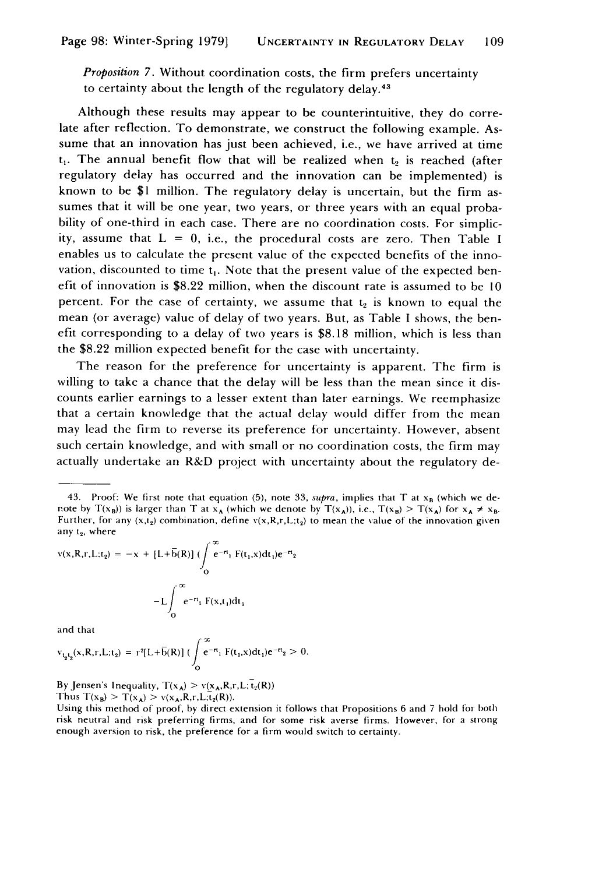*Proposition* 7. Without coordination costs, the firm prefers uncertainty to certainty about the length of the regulatory delay.<sup>43</sup>

Although these results may appear to be counterintuitive, they do correlate after reflection. To demonstrate, we construct the following example. Assume that an innovation has just been achieved, i.e., we have arrived at time **t<sub>1</sub>**. The annual benefit flow that will be realized when **t**<sub>2</sub> is reached (after regulatory delay has occurred and the innovation can be implemented) is known to be \$1 million. The regulatory delay is uncertain, but the firm assumes that it will be one year, two years, or three years with an equal probability of one-third in each case. There are no coordination costs. For simplicity, assume that  $L = 0$ , i.e., the procedural costs are zero. Then Table I enables us to calculate the present value of the expected benefits of the innovation, discounted to time t<sub>1</sub>. Note that the present value of the expected benefit of innovation is \$8.22 million, when the discount rate is assumed to be 10 percent. For the case of certainty, we assume that  $t_2$  is known to equal the mean (or average) value of delay of two years. But, as Table I shows, the benefit corresponding to a delay of two years is \$8.18 million, which is less than the \$8.22 million expected benefit for the case with uncertainty.

The reason for the preference for uncertainty is apparent. The firm is willing to take a chance that the delay will be less than the mean since it discounts earlier earnings to a lesser extent than later earnings. We reemphasize that a certain knowledge that the actual delay would differ from the mean may lead the firm to reverse its preference for uncertainty. However, absent such certain knowledge, and with small or no coordination costs, the firm may actually undertake an R&D project with uncertainty about the regulatory de-

$$
v(x, R, r, L; t_2) = -x + [L + \overline{b}(R)] \left( \int_0^{\infty} e^{-rt_1} F(t_1, x) dt_1 \right) e^{-rt_2}
$$

$$
-L \int_0^{\infty} e^{-rt_1} F(x, t_1) dt_1
$$

and that

$$
v_{t_2t_2}(x,R,r,L;t_2) = r^2[L+\overline{b}(R)] \; (\int_0^\infty e^{-rt_1} \; F(t_1,x) dt_1) e^{-rt_2} > 0.
$$

By Jensen's Inequality,  $T(x_A) > v(x_A, R, r, L; \tilde{t}_2(R))$ Thus  $T(x_B) > T(x_A) > v(x_A, R, r, L; \tilde{t}_2(R)).$ 

Using this method of proof', by direct extension it follows that Propositions 6 and 7 hold **for** both risk neutral and risk preferring firms, and for some risk averse firms. However, for a strong enough aversion to risk, the preference for a firm would switch to certainty.

<sup>43.</sup> Proof: We first note that equation (5), note 33, *supra*, implies that T at  $x_B$  (which we denote by  $T(x_B)$ ) is larger than T at  $x_A$  (which we denote by  $T(x_A)$ ), i.e.,  $T(x_B) > T(x_A)$  for  $x_A \neq x_B$ . Further, for any  $(x,t_2)$  combination, define  $v(x,R,r,L;t_2)$  to mean the value of the innovation given any t<sub>2</sub>, where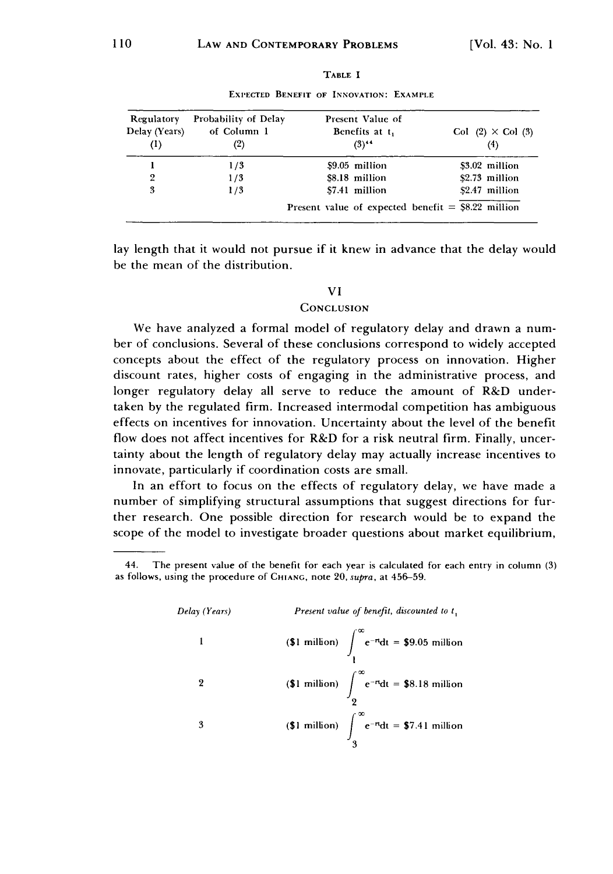| Regulatory<br>Delay (Years) | Probability of Delay<br>of Column 1 | Present Value of<br>Benefits at t <sub>1</sub> | Col $(2) \times$ Col $(3)$                           |
|-----------------------------|-------------------------------------|------------------------------------------------|------------------------------------------------------|
| (1)                         | (2)                                 | $(3)^{44}$                                     | (4)                                                  |
|                             | 1/3                                 | \$9.05 million                                 | \$3.02 million                                       |
| 2                           | 1/3                                 | \$8.18 million                                 | \$2.73 million                                       |
| 3                           | 1/3                                 | \$7.41 million                                 | \$2.47 million                                       |
|                             |                                     |                                                | Present value of expected benefit $=$ \$8.22 million |

| н<br>v. |  |
|---------|--|
|---------|--|

| EXPECTED BENEFIT OF INNOVATION: EXAMPLE |  |
|-----------------------------------------|--|
|-----------------------------------------|--|

lay length that it would not pursue if it knew in advance that the delay would be the mean of the distribution.

#### VI

## **CONCLUSION**

We have analyzed a formal model of regulatory delay and drawn a number of conclusions. Several of these conclusions correspond to widely accepted concepts about the effect of the regulatory process on innovation. Higher discount rates, higher costs of engaging in the administrative process, and longer regulatory delay all serve to reduce the amount of R&D undertaken by the regulated firm. Increased intermodal competition has ambiguous effects on incentives for innovation. Uncertainty about the level of the benefit flow does not affect incentives for R&D for a risk neutral firm. Finally, uncertainty about the length of regulatory delay may actually increase incentives to innovate, particularly if coordination costs are small.

In an effort to focus on the effects of regulatory delay, we have made a number of simplifying structural assumptions that suggest directions for further research. One possible direction for research would be to expand the scope of the model to investigate broader questions about market equilibrium,

<sup>44.</sup> The present value of the benefit for each year is calculated for each entry in column (3) as follows, using the procedure of CHIANG, note 20, *supra,* at 456-59.

| Delay (Years) | Present value of benefit, discounted to $ti$                 |  |
|---------------|--------------------------------------------------------------|--|
|               | (\$1 million) $\int_{1}^{\infty} e^{-rt} dt = $9.05$ million |  |
| $\bf{2}$      | (\$1 million) $\int_{0}^{\infty} e^{-rt} dt = $8.18$ million |  |
| 3             | (\$1 million) $\int_{0}^{\infty} e^{-rt} dt = $7.41$ million |  |